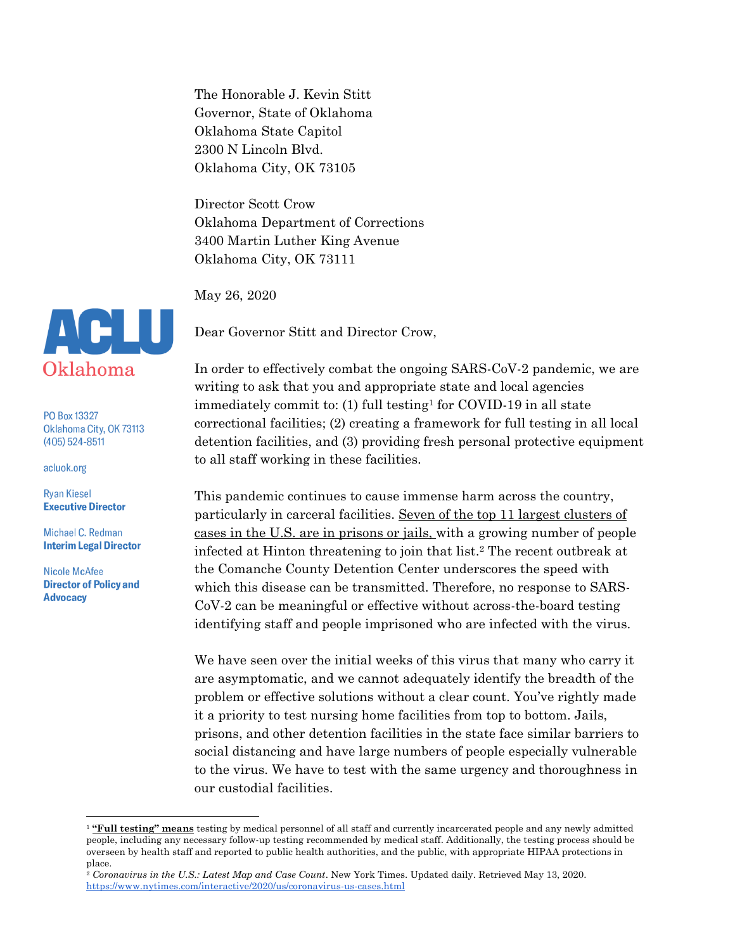The Honorable J. Kevin Stitt Governor, State of Oklahoma Oklahoma State Capitol 2300 N Lincoln Blvd. Oklahoma City, OK 73105

Director Scott Crow Oklahoma Department of Corrections 3400 Martin Luther King Avenue Oklahoma City, OK 73111

May 26, 2020

Dear Governor Stitt and Director Crow,

In order to effectively combat the ongoing SARS-CoV-2 pandemic, we are writing to ask that you and appropriate state and local agencies immediately commit to: (1) full testing<sup>1</sup> for COVID-19 in all state correctional facilities; (2) creating a framework for full testing in all local detention facilities, and (3) providing fresh personal protective equipment to all staff working in these facilities.

This pandemic continues to cause immense harm across the country, particularly in carceral facilities. Seven of the top 11 largest clusters of cases in the U.S. are in prisons or jails, with a growing number of people infected at Hinton threatening to join that list.<sup>2</sup> The recent outbreak at the Comanche County Detention Center underscores the speed with which this disease can be transmitted. Therefore, no response to SARS-CoV-2 can be meaningful or effective without across-the-board testing identifying staff and people imprisoned who are infected with the virus.

We have seen over the initial weeks of this virus that many who carry it are asymptomatic, and we cannot adequately identify the breadth of the problem or effective solutions without a clear count. You've rightly made it a priority to test nursing home facilities from top to bottom. Jails, prisons, and other detention facilities in the state face similar barriers to social distancing and have large numbers of people especially vulnerable to the virus. We have to test with the same urgency and thoroughness in our custodial facilities.



PO Box 13327 Oklahoma City, OK 73113  $(405)$  524-8511

acluok.org

**Ryan Kiesel Executive Director** 

Michael C. Redman **Interim Legal Director** 

<sup>&</sup>lt;sup>1</sup> "Full testing" means testing by medical personnel of all staff and currently incarcerated people and any newly admitted people, including any necessary follow-up testing recommended by medical staff. Additionally, the testing process should be overseen by health staff and reported to public health authorities, and the public, with appropriate HIPAA protections in place.

<sup>2</sup> *Coronavirus in the U.S.: Latest Map and Case Count*. New York Times. Updated daily. Retrieved May 13, 2020. <https://www.nytimes.com/interactive/2020/us/coronavirus-us-cases.html>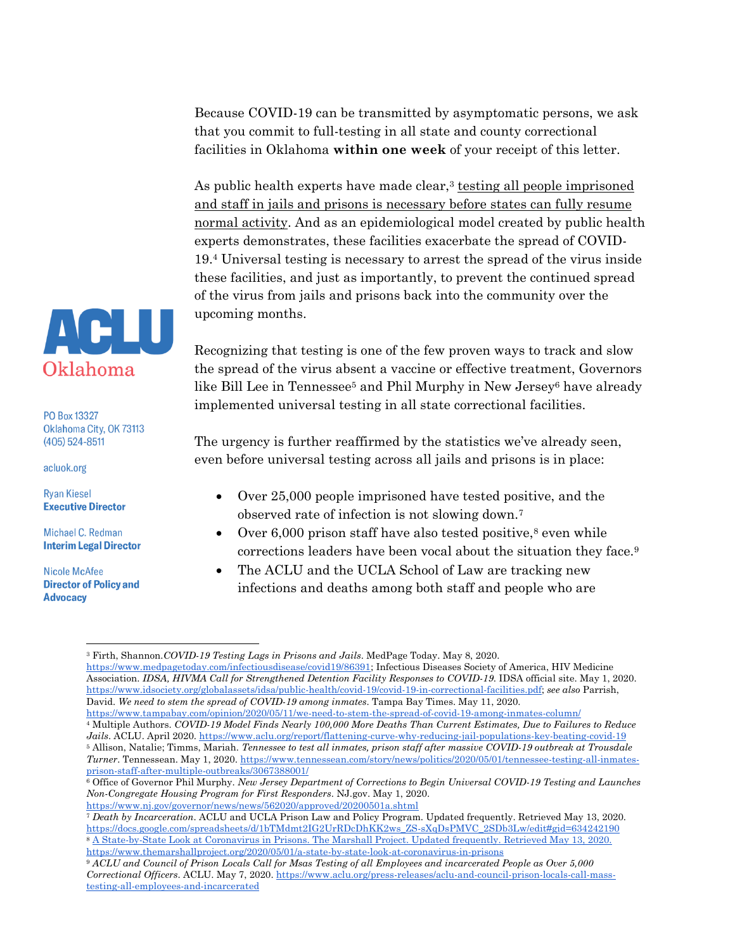Because COVID-19 can be transmitted by asymptomatic persons, we ask that you commit to full-testing in all state and county correctional facilities in Oklahoma **within one week** of your receipt of this letter.

As public health experts have made clear, $3$  testing all people imprisoned and staff in jails and prisons is necessary before states can fully resume normal activity. And as an epidemiological model created by public health experts demonstrates, these facilities exacerbate the spread of COVID-19.<sup>4</sup> Universal testing is necessary to arrest the spread of the virus inside these facilities, and just as importantly, to prevent the continued spread of the virus from jails and prisons back into the community over the upcoming months.

Recognizing that testing is one of the few proven ways to track and slow the spread of the virus absent a vaccine or effective treatment, Governors like Bill Lee in Tennessee<sup>5</sup> and Phil Murphy in New Jersey<sup>6</sup> have already implemented universal testing in all state correctional facilities.

The urgency is further reaffirmed by the statistics we've already seen, even before universal testing across all jails and prisons is in place:

- Over 25,000 people imprisoned have tested positive, and the observed rate of infection is not slowing down.<sup>7</sup>
- Over  $6,000$  prison staff have also tested positive,<sup>8</sup> even while corrections leaders have been vocal about the situation they face.<sup>9</sup>
- The ACLU and the UCLA School of Law are tracking new infections and deaths among both staff and people who are



PO Box 13327 Oklahoma City, OK 73113  $(405)$  524-8511

acluok.org

**Ryan Kiesel Executive Director** 

Michael C. Redman **Interim Legal Director** 

<sup>3</sup> Firth, Shannon.*COVID-19 Testing Lags in Prisons and Jails*. MedPage Today. May 8, 2020. [https://www.medpagetoday.com/infectiousdisease/covid19/86391;](https://www.medpagetoday.com/infectiousdisease/covid19/86391) Infectious Diseases Society of America, HIV Medicine Association. *IDSA, HIVMA Call for Strengthened Detention Facility Responses to COVID-19*. IDSA official site. May 1, 2020. [https://www.idsociety.org/globalassets/idsa/public-health/covid-19/covid-19-in-correctional-facilities.pdf;](https://www.idsociety.org/globalassets/idsa/public-health/covid-19/covid-19-in-correctional-facilities.pdf) *see also* Parrish,

David. *We need to stem the spread of COVID-19 among inmates*. Tampa Bay Times. May 11, 2020. <https://www.tampabay.com/opinion/2020/05/11/we-need-to-stem-the-spread-of-covid-19-among-inmates-column/>

<sup>4</sup> Multiple Authors. *COVID-19 Model Finds Nearly 100,000 More Deaths Than Current Estimates, Due to Failures to Reduce Jails*. ACLU. April 2020.<https://www.aclu.org/report/flattening-curve-why-reducing-jail-populations-key-beating-covid-19> <sup>5</sup> Allison, Natalie; Timms, Mariah. *Tennessee to test all inmates, prison staff after massive COVID-19 outbreak at Trousdale* 

*Turner*. Tennessean. May 1, 2020. [https://www.tennessean.com/story/news/politics/2020/05/01/tennessee-testing-all-inmates](https://www.tennessean.com/story/news/politics/2020/05/01/tennessee-testing-all-inmates-prison-staff-after-multiple-outbreaks/3067388001/)[prison-staff-after-multiple-outbreaks/3067388001/](https://www.tennessean.com/story/news/politics/2020/05/01/tennessee-testing-all-inmates-prison-staff-after-multiple-outbreaks/3067388001/)

<sup>6</sup> Office of Governor Phil Murphy. *New Jersey Department of Corrections to Begin Universal COVID-19 Testing and Launches Non-Congregate Housing Program for First Responders*. NJ.gov. May 1, 2020. <https://www.nj.gov/governor/news/news/562020/approved/20200501a.shtml>

<sup>7</sup> *Death by Incarceration*. ACLU and UCLA Prison Law and Policy Program. Updated frequently. Retrieved May 13, 2020. [https://docs.google.com/spreadsheets/d/1bTMdmt2IG2UrRDcDhKK2ws\\_ZS-sXqDsPMVC\\_2SDb3Lw/edit#gid=634242190](https://docs.google.com/spreadsheets/d/1bTMdmt2IG2UrRDcDhKK2ws_ZS-sXqDsPMVC_2SDb3Lw/edit#gid=634242190) <sup>8</sup> [A State-by-State Look at Coronavirus in Prisons. The Marshall Project. Updated frequently. Retrieved May 13, 2020.](https://docs.google.com/spreadsheets/d/1bTMdmt2IG2UrRDcDhKK2ws_ZS-sXqDsPMVC_2SDb3Lw/edit#gid=634242190)  [https://www.themarshallproject.org/2020/05/01/a-state-by-state-look-at-coronavirus-in-prisons](https://docs.google.com/spreadsheets/d/1bTMdmt2IG2UrRDcDhKK2ws_ZS-sXqDsPMVC_2SDb3Lw/edit#gid=634242190)

<sup>9</sup> *ACLU and Council of Prison Locals Call for Msas Testing of all Employees and incarcerated People as Over 5,000 Correctional Officers*. ACLU. May 7, 2020. [https://www.aclu.org/press-releases/aclu-and-council-prison-locals-call-mass](https://www.aclu.org/press-releases/aclu-and-council-prison-locals-call-mass-testing-all-employees-and-incarcerated)[testing-all-employees-and-incarcerated](https://www.aclu.org/press-releases/aclu-and-council-prison-locals-call-mass-testing-all-employees-and-incarcerated)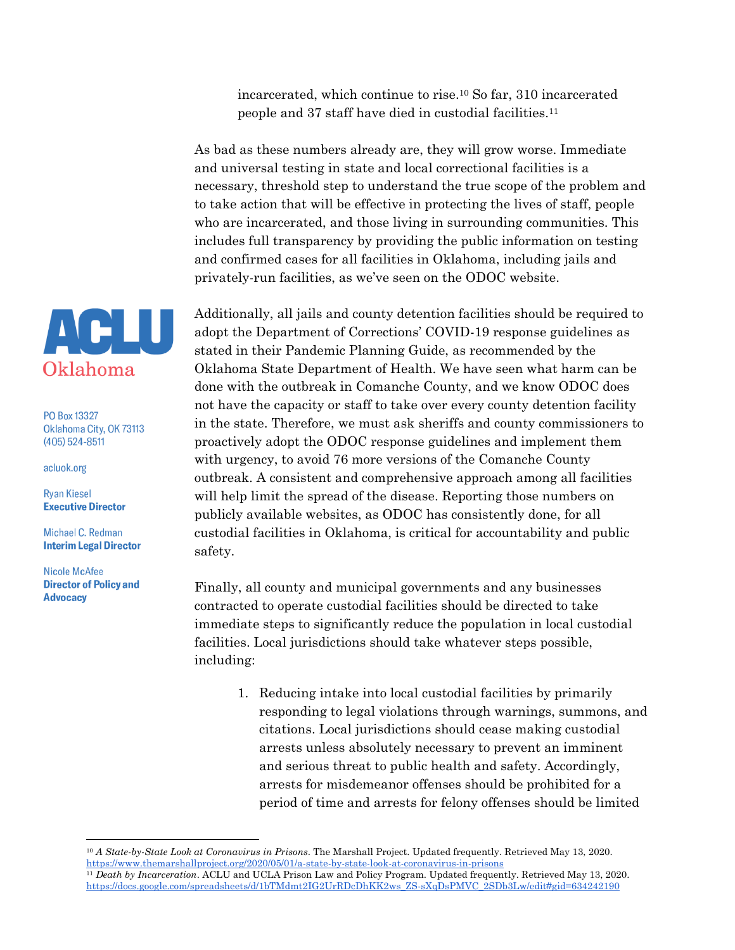incarcerated, which continue to rise.<sup>10</sup> So far, 310 incarcerated people and 37 staff have died in custodial facilities.<sup>11</sup>

As bad as these numbers already are, they will grow worse. Immediate and universal testing in state and local correctional facilities is a necessary, threshold step to understand the true scope of the problem and to take action that will be effective in protecting the lives of staff, people who are incarcerated, and those living in surrounding communities. This includes full transparency by providing the public information on testing and confirmed cases for all facilities in Oklahoma, including jails and privately-run facilities, as we've seen on the ODOC website.

Additionally, all jails and county detention facilities should be required to adopt the Department of Corrections' COVID-19 response guidelines as stated in their Pandemic Planning Guide, as recommended by the Oklahoma State Department of Health. We have seen what harm can be done with the outbreak in Comanche County, and we know ODOC does not have the capacity or staff to take over every county detention facility in the state. Therefore, we must ask sheriffs and county commissioners to proactively adopt the ODOC response guidelines and implement them with urgency, to avoid 76 more versions of the Comanche County outbreak. A consistent and comprehensive approach among all facilities will help limit the spread of the disease. Reporting those numbers on publicly available websites, as ODOC has consistently done, for all custodial facilities in Oklahoma, is critical for accountability and public safety.

Finally, all county and municipal governments and any businesses contracted to operate custodial facilities should be directed to take immediate steps to significantly reduce the population in local custodial facilities. Local jurisdictions should take whatever steps possible, including:

1. Reducing intake into local custodial facilities by primarily responding to legal violations through warnings, summons, and citations. Local jurisdictions should cease making custodial arrests unless absolutely necessary to prevent an imminent and serious threat to public health and safety. Accordingly, arrests for misdemeanor offenses should be prohibited for a period of time and arrests for felony offenses should be limited



PO Box 13327 Oklahoma City, OK 73113  $(405)$  524-8511

acluok.org

**Ryan Kiesel Executive Director** 

Michael C. Redman **Interim Legal Director** 

<sup>10</sup> *A State-by-State Look at Coronavirus in Prisons*. The Marshall Project. Updated frequently. Retrieved May 13, 2020. <https://www.themarshallproject.org/2020/05/01/a-state-by-state-look-at-coronavirus-in-prisons>

<sup>11</sup> *Death by Incarceration*. ACLU and UCLA Prison Law and Policy Program. Updated frequently. Retrieved May 13, 2020. [https://docs.google.com/spreadsheets/d/1bTMdmt2IG2UrRDcDhKK2ws\\_ZS-sXqDsPMVC\\_2SDb3Lw/edit#gid=634242190](https://docs.google.com/spreadsheets/d/1bTMdmt2IG2UrRDcDhKK2ws_ZS-sXqDsPMVC_2SDb3Lw/edit#gid=634242190)